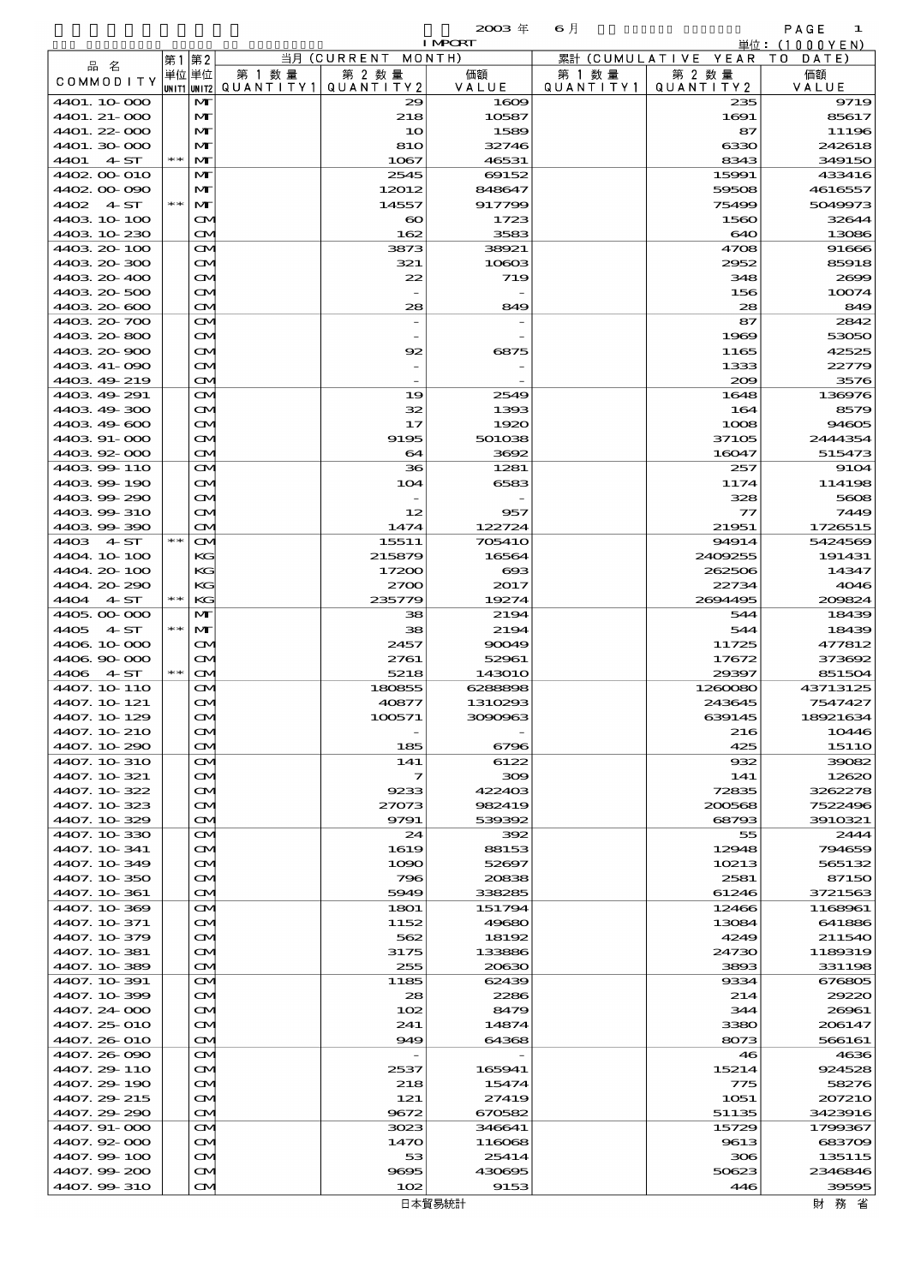| $2113 +$ |  | 65. |  |
|----------|--|-----|--|
|          |  |     |  |

| $2003 \text{ }$ | 6月 |
|-----------------|----|
| <b>LMREE</b>    |    |

|              |       |                   |           |                       | <b>TALAM</b>  |           |                        | <u> 単位:(IUUUYEN)</u> |
|--------------|-------|-------------------|-----------|-----------------------|---------------|-----------|------------------------|----------------------|
| 品 名          | 第1第2  |                   |           | 当月(CURRENT            | MONTH)        |           | 累計 (CUMULATIVE YEAR TO | DATE                 |
| COMMODITY    |       | 単位 単位             | 第 1 数 量   | 第 2 数量                | 価額            | 第 1 数 量   | 第 2 数 量                | 価額                   |
|              |       | UNIT1 UNIT2       | QUANTITY1 | QUANTITY 2            | VALUE         | QUANTITY1 | QUANTITY 2             | VALUE                |
| 4401.10-000  |       | $\mathbf{M}$      |           | 29                    | 1609          |           | 235                    | 9719                 |
| 4401. 21-000 |       | $\mathbf{M}$      |           | 218                   | 10587         |           | 1691                   | 85617                |
| 4401.22-000  |       | M                 |           | 10                    | 1589          |           | 87                     | 11196                |
| 4401.30-000  |       | M                 |           | 810                   | 32746         |           | 6330                   | 242618               |
| 4401<br>4ST  | $* *$ | M                 |           | 1067                  | 46531         |           | 8343                   | 349150               |
| 4402.00-010  |       | M                 |           | 2545                  | 69152         |           | 15991                  | 433416               |
| 4402.00-090  |       | $\mathbf{M}$      |           | 12012                 | 848647        |           | 59508                  | 4616557              |
| 4402 4 ST    | $* *$ | $\mathbf{M}$      |           | 14557                 | 917799        |           | 75499                  | 5049973              |
| 4403.10-100  |       | $\mathbf{\Omega}$ |           | $\boldsymbol{\infty}$ | 1723          |           | 1560                   | 32644                |
| 4403 10 230  |       | $\mathbf{\infty}$ |           | 162                   | 3583          |           | 640                    | 13086                |
| 4403.20-100  |       |                   |           |                       |               |           | 4708                   | 91666                |
|              |       | $\mathbf{\infty}$ |           | 3873                  | 38921         |           |                        | 85918                |
| 4403.20-300  |       | $\mathbf{\Omega}$ |           | 321                   | 10603         |           | 2952                   |                      |
| 4403.20-400  |       | $\mathbf{\Omega}$ |           | 22                    | 719           |           | 348                    | 2609                 |
| 4403.20-500  |       | $\mathbf{\alpha}$ |           |                       |               |           | 156                    | 10074                |
| 4403.20-600  |       | $\mathbf{\infty}$ |           | 28                    | 849           |           | 28                     | 849                  |
| 4403.20-700  |       | $\mathbf{\infty}$ |           |                       |               |           | 87                     | 2842                 |
| 4403.20-800  |       | $\mathbf{\alpha}$ |           |                       |               |           | 1969                   | 53050                |
| 4403.20-900  |       | $\mathbf{\Omega}$ |           | 92                    | 6875          |           | 1165                   | 42525                |
| 4403 41-090  |       | $\mathbf{\alpha}$ |           |                       |               |           | 1333                   | 22779                |
| 4403 49 219  |       | $\mathbf{\infty}$ |           |                       |               |           | 200                    | 3576                 |
| 4403.49-291  |       | M                 |           | 19                    | 2549          |           | 1648                   | 136976               |
| 4403.49-300  |       | $\mathbf{\alpha}$ |           | 32                    | 1393          |           | 164                    | 8579                 |
| 4403.49-600  |       |                   |           | 17                    |               |           |                        | 94605                |
|              |       | $\mathbf{\Omega}$ |           |                       | 1920          |           | 1008                   |                      |
| 4403.91-000  |       | $\mathbf{\Omega}$ |           | 9195                  | 501038        |           | 37105                  | 2444354              |
| 4403.92-000  |       | $\mathbf{\infty}$ |           | 64                    | 3692          |           | 16047                  | 515473               |
| 4403.99-110  |       | M                 |           | 36                    | 1281          |           | 257                    | 9104                 |
| 4403.99-190  |       | M                 |           | 104                   | 6583          |           | 1174                   | 114198               |
| 440399290    |       | $\mathbf{\infty}$ |           |                       |               |           | 328                    | 5608                 |
| 4403.99-310  |       | $\mathbf{\Omega}$ |           | 12                    | 957           |           | $\tau$                 | 7449                 |
| 4403.99-390  |       | $\mathbf{\infty}$ |           | 1474                  | 122724        |           | 21951                  | 1726515              |
| 4403 4 ST    | $* *$ | $\mathbf{\infty}$ |           | 15511                 | 705410        |           | 94914                  | 5424569              |
| 4404.10-100  |       | KG                |           | 215879                | 16564         |           | 2409255                | 191431               |
| 4404.20-100  |       | KG                |           | 17200                 | ങ്ങ           |           | 262506                 | 14347                |
| 4404.20-290  |       | KG                |           | 2700                  | 2017          |           | 22734                  | 4046                 |
| 4404 4. ST   |       | KG                |           | 235779                | 19274         |           | 2694495                | 200824               |
|              |       |                   |           |                       |               |           |                        |                      |
| 4405.00-000  |       | M                 |           | 38                    | 2194          |           | 544                    | 18439                |
| 4405<br>4ST  | $* *$ | M                 |           | 38                    | 2194          |           | 544                    | 18439                |
| 4406.10.000  |       | $\mathbf{\infty}$ |           | 2457                  | 90049         |           | 11725                  | 477812               |
| 4406.90-000  |       | $\mathbf{\Omega}$ |           | 2761                  | 52961         |           | 17672                  | 373692               |
| 4406 4 ST    | $* *$ | $\mathbf{\infty}$ |           | 5218                  | <b>143010</b> |           | 29397                  | 851504               |
| 4407. 10-110 |       | $\mathbf{\infty}$ |           | 180855                | 6288898       |           | 1260080                | 43713125             |
| 4407. 10-121 |       | ŒM                |           | 40877                 | 1310293       |           | 243645                 | 7547427              |
| 4407.10-129  |       | $\mathbf{\infty}$ |           | 100571                | 3090963       |           | 639145                 | 18921634             |
| 4407. 10-210 |       | $\mathbf{\Omega}$ |           |                       |               |           | 216                    | 10446                |
| 4407.10-290  |       | $\mathbf{\infty}$ |           | 185                   | 6796          |           | 425                    | 1511O                |
| 4407. 10-310 |       | M                 |           | 141                   | 6122          |           | 932                    | 39082                |
| 4407.10-321  |       |                   |           | 7                     | 300           |           | 141                    | 12620                |
|              |       | <b>CM</b>         |           |                       |               |           |                        |                      |
| 4407. 10-322 |       | ŒM                |           | 9233                  | 422403        |           | 72835                  | 3262278              |
| 4407.10.323  |       | $\mathbf{\Omega}$ |           | 27073                 | 982419        |           | 200568                 | 7522496              |
| 4407.10.329  |       | $\mathbf{\infty}$ |           | 9791                  | 539392        |           | 68793                  | 3910321              |
| 4407.10-330  |       | M                 |           | 24                    | 392           |           | 55                     | 2444                 |
| 4407.10-341  |       | <b>CM</b>         |           | 1619                  | 88153         |           | 12948                  | 794659               |
| 4407. 10-349 |       | ŒM                |           | 1090                  | 52697         |           | 10213                  | 565132               |
| 4407.10.350  |       | $\mathbf{\Omega}$ |           | 796                   | 20838         |           | 2581                   | 87150                |
| 4407.10-361  |       | $\mathbf{\infty}$ |           | 5949                  | 338285        |           | 61246                  | 3721563              |
| 4407.10-369  |       | M                 |           | 1801                  | 151794        |           | 12466                  | 1168961              |
| 4407. 10-371 |       | <b>CM</b>         |           | 1152                  | 49680         |           | 13084                  | 641886               |
| 4407. 10-379 |       | ŒM                |           | 562                   | 18192         |           | 4249                   | 211540               |
| 4407.10-381  |       | $\mathbf{\Omega}$ |           | 3175                  | 133886        |           | 24730                  | 1189319              |
| 4407.10-389  |       |                   |           | 255                   |               |           | 3893                   |                      |
|              |       | $\mathbf{\infty}$ |           |                       | 20630         |           |                        | 331198               |
| 4407. 10-391 |       | M                 |           | 1185                  | 62439         |           | 9334                   | 676805               |
| 4407.10-399  |       | <b>CM</b>         |           | 28                    | 2286          |           | 214                    | 29220                |
| 4407.24-000  |       | $\mathbf{\Omega}$ |           | 102                   | 8479          |           | 344                    | 26961                |
| 4407. 25-010 |       | $\mathbf{\Omega}$ |           | 241                   | 14874         |           | 3380                   | 206147               |
| 4407.26-010  |       | $\mathbf{\infty}$ |           | 949                   | 64368         |           | 8073                   | 566161               |
| 4407.26-090  |       | M                 |           |                       |               |           | 46                     | 4636                 |
| 4407.29-110  |       | <b>CM</b>         |           | 2537                  | 165941        |           | 15214                  | 924528               |
| 4407.29-190  |       | $\mathbf{\Omega}$ |           | 218                   | 15474         |           | 775                    | 58276                |
| 4407.29 215  |       | $\mathbf{\Omega}$ |           | 121                   | 27419         |           | 1051                   | 207210               |
| 4407.29-290  |       | $\mathbf{\infty}$ |           | 9672                  | 670582        |           | 51135                  | 3423916              |
| 4407.91-000  |       | M                 |           | 3023                  | 346641        |           | 15729                  | 1799367              |
| 4407.92-000  |       | $\mathbf{\Omega}$ |           | 1470                  | 116068        |           | 9613                   | 683709               |
| 4407.99-100  |       | $\mathbf{\Omega}$ |           | 53                    | 25414         |           | 306                    | 135115               |
|              |       |                   |           |                       |               |           |                        |                      |
| 4407.99-200  |       | $\mathbf{\Omega}$ |           | 9695                  | 430695        |           | 50623                  | 2346846              |
| 4407.99-310  |       | $\mathbf{\Omega}$ |           | 102                   | 9153          |           | 446                    | 39595                |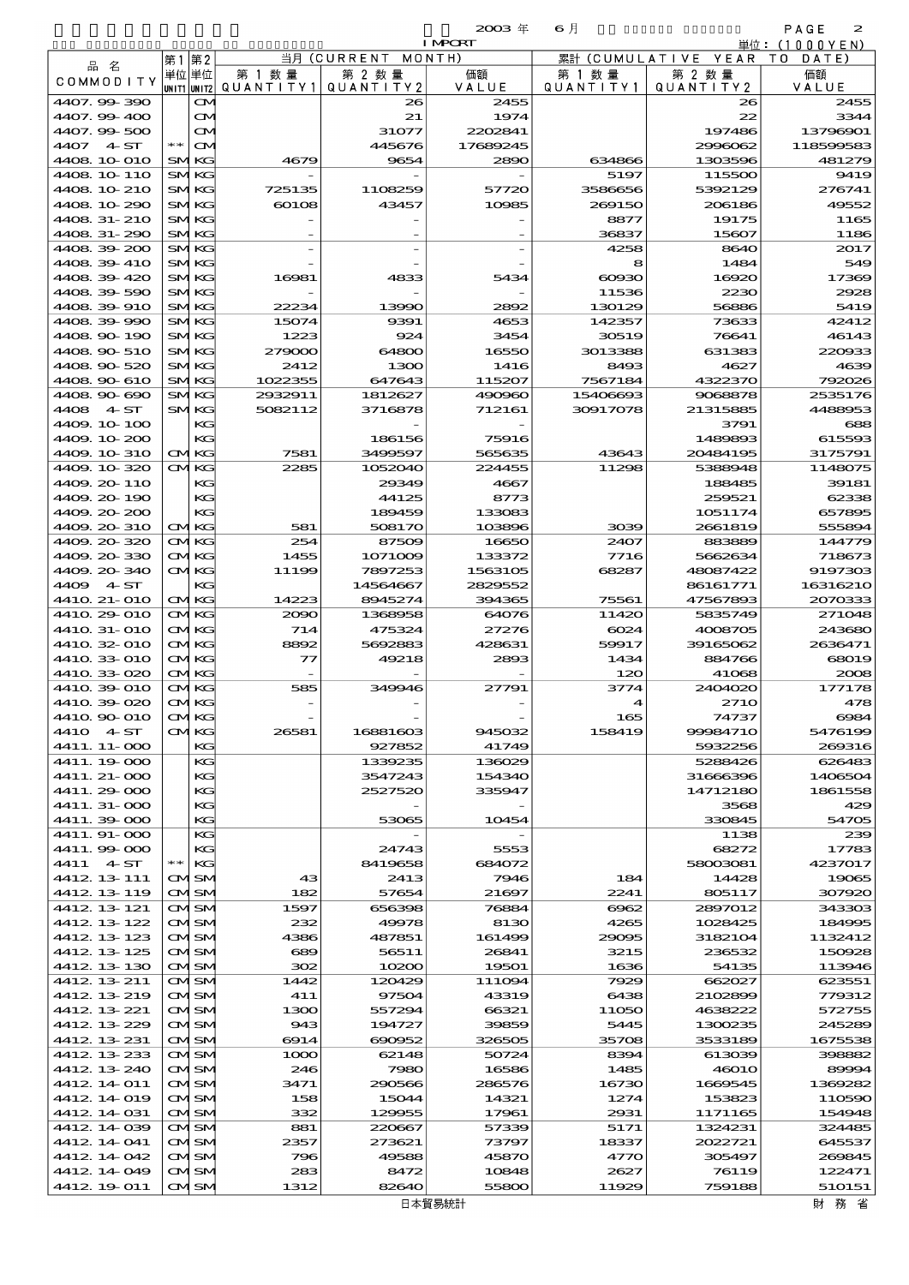$\mathbf{2003} \# \qquad \mathbf{6} \nparallel$  PAGE 2

| $\sim$ $\sim$<br>n an<br>۰.<br>., |  |
|-----------------------------------|--|
|                                   |  |

|                            |              |                            |                     |                      | <b>I MPCRT</b>    |                      |                      | 単位:(1000YEN)       |
|----------------------------|--------------|----------------------------|---------------------|----------------------|-------------------|----------------------|----------------------|--------------------|
| 品名                         | 第1 第2        |                            |                     | 当月(CURRENT           | MONTH)            |                      | 累計 (CUMULATIVE YEAR) | T O<br>DATE        |
| <b>COMMODITY</b>           |              | 単位 単位<br>UNIT1 UNIT2       | 第 1 数量<br>QUANTITY1 | 第 2 数量<br>QUANTITY 2 | 価額<br>VALUE       | 第 1 数 暈<br>QUANTITY1 | 第 2 数量<br>QUANTITY 2 | 価額<br>VALUE        |
| 4407.99-390                |              | $\bf{C}$                   |                     | 26                   | 2455              |                      | 26                   | 2455               |
| 4407.99-400                |              | M                          |                     | 21                   | 1974              |                      | 22                   | 3344               |
| 4407.99-500                |              | $\mathbf{\infty}$          |                     | 31077                | 2202841           |                      | 197486               | 13796901           |
| 4407 4 ST                  | $* *$        | $\mathbf{\Omega}$          |                     | 445676               | 17689245          |                      | 2996062              | 118599583          |
| 4408 10 010<br>4408 10 110 |              | <b>SMKG</b><br><b>SMKG</b> | 4679                | 9654                 | 2890              | 634866<br>5197       | 1303596<br>115500    | 481279<br>9419     |
| 4408 10 210                |              | <b>SMKG</b>                | 725135              | 1108259              | 57720             | 3586656              | 5392129              | 276741             |
| 4408 10 290                |              | <b>SMKG</b>                | 60108               | 43457                | 10985             | 269150               | 206186               | 49552              |
| 4408 31-210                |              | <b>SMKG</b>                |                     |                      |                   | 8877                 | 19175                | 1165               |
| 4408 31-290                |              | <b>SMKG</b>                |                     |                      |                   | 36837                | 15607                | 1186               |
| 4408 39 200                |              | <b>SMKG</b>                |                     |                      |                   | 4258                 | 8640                 | 2017               |
| 4408 39 410<br>4408 39 420 |              | <b>SMKG</b><br><b>SMKG</b> | 16981               | 4833                 | 5434              | 8<br>$\alpha$        | 1484<br>16920        | 549<br>17369       |
| 4408 39 590                |              | SMKG                       |                     |                      |                   | 11536                | 2230                 | 2928               |
| 4408 39 910                |              | <b>SMKG</b>                | 22234               | 13990                | 2892              | 130129               | 56886                | 5419               |
| 4408 39 990                |              | <b>SMKG</b>                | 15074               | 9391                 | 4653              | 142357               | 73633                | 42412              |
| 4408 90 190                |              | <b>SMKG</b>                | 1223                | 924                  | 3454              | 30519                | 76641                | 46143              |
| 4408 90 510<br>4408 90 520 |              | <b>SMKG</b><br>SMKG        | 279000<br>2412      | 64800<br>1300        | 16550<br>1416     | 3013388<br>8493      | 631383<br>4627       | 220933<br>4639     |
| 4408 90 610                |              | <b>SMKG</b>                | 1022355             | 647643               | 115207            | 7567184              | 4322370              | 792026             |
| 4408 90 690                |              | <b>SMKG</b>                | 2932911             | 1812627              | 490960            | 15406693             | 9068878              | 2535176            |
| 4 ST<br>4408               |              | <b>SMKG</b>                | 5082112             | 3716878              | 712161            | 30917078             | 21315885             | 4488953            |
| 4409.10-100                |              | KС                         |                     |                      |                   |                      | 3791                 | 688                |
| 4409 10 200                |              | KG                         |                     | 186156               | 75916             |                      | 1489893              | 615593             |
| 4409.10.310<br>4409 10 320 |              | <b>CMKG</b><br><b>CMKG</b> | 7581<br>2285        | 3499597<br>1052040   | 565635<br>224455  | 43643<br>11298       | 20484195<br>5388948  | 3175791<br>1148075 |
| 4409.20-110                |              | KG                         |                     | 29349                | 4667              |                      | 188485               | 39181              |
| 4409.20-190                |              | KС                         |                     | 44125                | 8773              |                      | 259521               | 62338              |
| 4409.20-200                |              | KG                         |                     | 189459               | 133083            |                      | 1051174              | 657895             |
| 4409 20 310                |              | <b>CMKG</b>                | 581                 | 508170               | 103896            | 3039                 | 2661819              | 555894             |
| 4409.20 320                |              | <b>CMKG</b>                | 254                 | 87509                | 16650             | 2407                 | 883889               | 144779             |
| 4409.20-330<br>4409.20-340 |              | <b>CMKG</b><br><b>CMKG</b> | 1455<br>11199       | 1071009<br>7897253   | 133372<br>1563105 | 7716<br>68287        | 5662634<br>48087422  | 718673<br>9197303  |
| 4409 4 ST                  |              | KG                         |                     | 14564667             | 2829552           |                      | 86161771             | 16316210           |
| 4410 21-010                |              | <b>CMKG</b>                | 14223               | 8945274              | 394365            | 75561                | 47567893             | 2070333            |
| 4410 29 010                |              | <b>CMKG</b>                | 2090                | 1368958              | 64076             | 11420                | 5835749              | 271048             |
| 4410 31-010                |              | <b>CMKG</b>                | 714                 | 475324               | 27276             | 6024                 | 4008705              | 243680             |
| 4410 32 010                |              | <b>CMKG</b>                | 8892                | 5692883              | 428631            | 59917                | 39165062             | 2636471            |
| 4410 33 010<br>4410 33 020 |              | <b>CMKG</b><br><b>CMKG</b> | $\tau$              | 49218                | 2893              | 1434<br>120          | 884766<br>41068      | 68019<br>2008      |
| 4410 39 010                |              | <b>CMKG</b>                | 585                 | 349946               | 27791             | 3774                 | 2404020              | 177178             |
| 4410 39 020                |              | CMKG                       |                     |                      |                   | 4                    | 271 <sub>O</sub>     | 478                |
| 441Q 9O 01O                | $\bf \alpha$ | ⁄IKG                       |                     |                      |                   | 165                  | 74737                | 6984               |
| 4410 4 ST                  |              | <b>CMKG</b>                | 26581               | 16881603             | 945032            | 158419               | 99984710             | 5476199            |
| 4411. 11-000               |              | KG                         |                     | 927852               | 41749             |                      | 5932256              | 269316             |
| 4411.19000<br>4411. 21-000 |              | KG<br>KG                   |                     | 1339235<br>3547243   | 136029<br>154340  |                      | 5288426<br>31666396  | 626483<br>1406504  |
| 4411.29-000                |              | KG                         |                     | 2527520              | 335947            |                      | 14712180             | 1861558            |
| 4411. 31-000               |              | KG                         |                     |                      |                   |                      | 3568                 | 429                |
| 4411.39-000                |              | KG                         |                     | 53065                | 10454             |                      | 330845               | 54705              |
| 4411.91-000                |              | KG                         |                     |                      |                   |                      | 1138                 | 239                |
| 4411.99 000<br>4411 4 ST   | $**$         | KG<br>KG                   |                     | 24743<br>8419658     | 5553<br>684072    |                      | 68272<br>58003081    | 17783<br>4237017   |
| 4412 13 111                |              | <b>CMSM</b>                | 43                  | 2413                 | 7946              | 184                  | 14428                | 19065              |
| 4412 13 119                |              | <b>CMSM</b>                | 182                 | 57654                | 21697             | 2241                 | 805117               | 307920             |
| 4412 13 121                |              | CMISM                      | 1597                | 656398               | 76884             | 6062                 | 2897012              | 343303             |
| 4412 13 122                |              | <b>CMISM</b>               | 232                 | 49978                | 8130              | 4265                 | 1028425              | 184995             |
| 4412 13 123                |              | CMSM                       | 4386                | 487851               | 161499            | 29095                | 3182104              | 1132412            |
| 4412 13 125<br>4412 13 130 |              | CMISM<br>CMSM              | 689<br>302          | 56511<br>10200       | 26841<br>19501    | 3215<br>1636         | 236532<br>54135      | 150928<br>113946   |
| 4412 13 211                |              | CMISM                      | 1442                | 120429               | 111094            | 7929                 | 662027               | 623551             |
| 4412 13 219                |              | CMISM                      | 411                 | 97504                | 43319             | 6438                 | 2102899              | 779312             |
| 4412 13 221                |              | CMSM                       | 1300                | 557294               | 66321             | 11050                | 4638222              | 572755             |
| 4412 13 229                |              | CMISM                      | 943                 | 194727               | 39859             | 5445                 | 1300235              | 245289             |
| 4412 13 231                |              | CMSM                       | 6914                | 690952               | 326505            | 35708                | 3533189              | 1675538            |
| 4412 13 233<br>4412 13 240 |              | CMISM<br>CMISM             | 1000<br>246         | 62148<br>7980        | 50724<br>16586    | 8394<br>1485         | 613039<br>46010      | 398882<br>89994    |
| 4412 14 011                |              | CMSM                       | 3471                | 290566               | 286576            | 16730                | 1669545              | 1369282            |
| 4412 14 019                |              | CMISM                      | 158                 | 15044                | 14321             | 1274                 | 153823               | 110590             |
| 4412 14 031                |              | CMSM                       | 332                 | 129955               | 17961             | 2931                 | 1171165              | 154948             |
| 4412 14 039                |              | CMISM                      | 881                 | 220667               | 57339             | 5171                 | 1324231              | 324485             |
| 4412 14 041<br>4412 14 042 |              | CMISM                      | 2357<br>796         | 273621<br>49588      | 73797             | 18337                | 2022721              | 645537<br>269845   |
| 4412 14 049                |              | CMSM<br>CMSM               | 283                 | 8472                 | 45870<br>10848    | 4770<br>2627         | 305497<br>76119      | 122471             |
| 4412 19 011                |              | CMSM                       | 1312                | 82640                | 55800             | 11929                | 759188               | 510151             |
|                            |              |                            |                     |                      |                   |                      |                      |                    |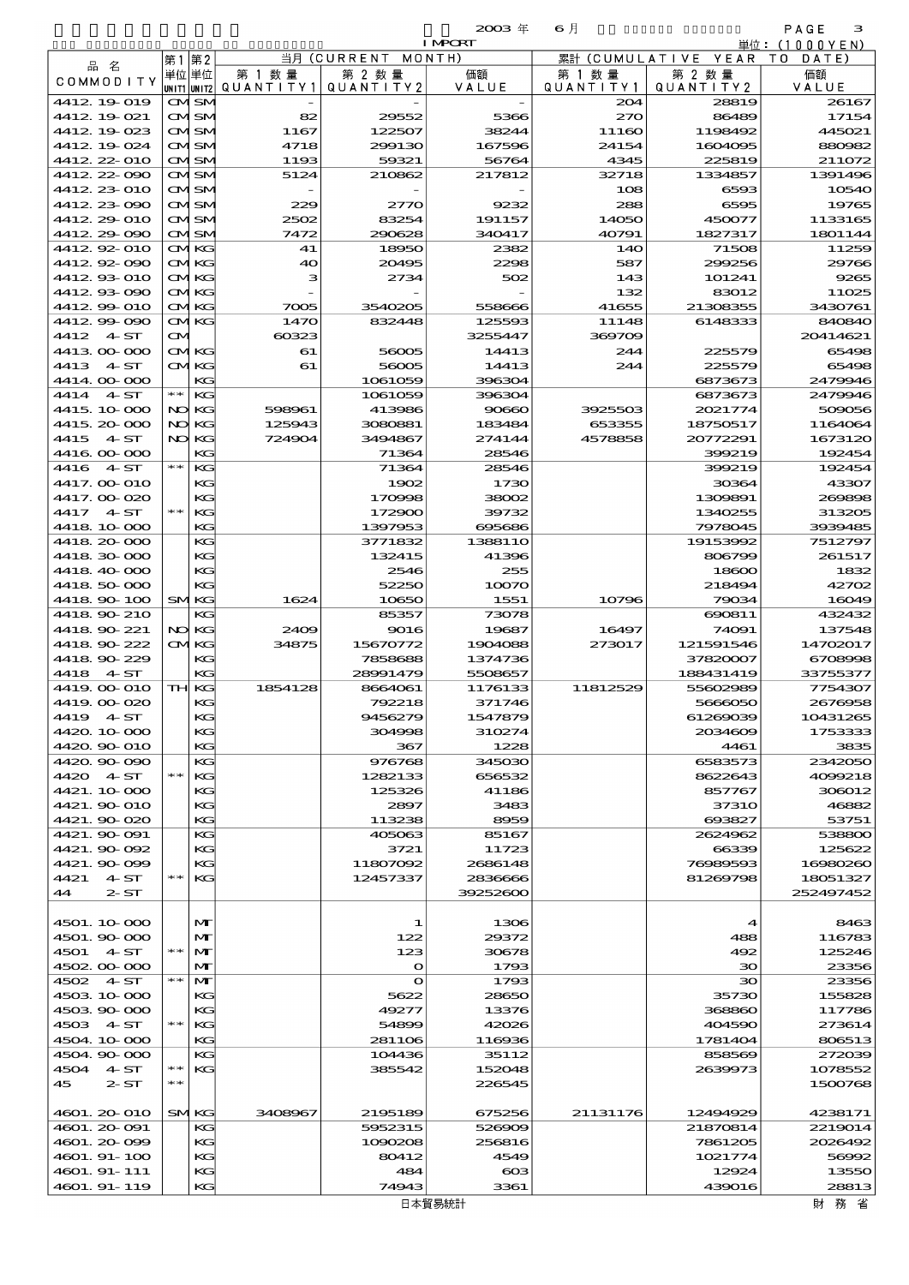| 2113 | <b>΄πτ</b> |
|------|------------|
|      |            |

|                             |       |                   |               |                              | $2003 \text{ } \#$       | 6月                |                            | PAGE<br>з                    |
|-----------------------------|-------|-------------------|---------------|------------------------------|--------------------------|-------------------|----------------------------|------------------------------|
|                             |       |                   | 当月            | (CURRENT                     | <b>I MPORT</b><br>MONTH) | 累計<br>(CUMULATIVE | YEAR                       | 単位:(1000YEN)<br>T 0<br>DATE) |
| 品名                          | 第1    | 第2<br>単位 単位       | 第 1 数 量       | 第 2 数量                       | 価額                       | 第 1 数 量           | 第 2 数量                     | 価額                           |
| <b>COMMODITY</b>            |       | UN I T1  UN I T2  | QUANTITY1     | QUANTITY2                    | VALUE                    | QUANTITY1         | QUANTITY 2                 | VALUE                        |
| 4412 19 019                 |       | CMSM              |               |                              |                          | 204               | 28819                      | 26167                        |
| 4412 19 021                 |       | CMISM             | 82            | 29552                        | 5366                     | $z\pi$            | 86489                      | 17154                        |
| 4412 19 023                 |       | CMISM             | 1167          | 122507                       | 38244                    | 11160             | 1198492                    | 445021                       |
| 4412 19 024                 |       | CMSM              | 4718          | 299130                       | 167596                   | 24154             | 1604095                    | 880982                       |
| 4412 22 010                 |       | CMISM             | 1193          | 59321                        | 56764                    | 4345              | 225819                     | 211072                       |
| 4412.22-090<br>4412 23 010  |       | CMSM              | 5124          | 210862                       | 217812                   | 32718             | 1334857                    | 1391496<br>10540             |
| 4412.23.090                 |       | CMISM<br>CMISM    | 229           | 2770                         | 9232                     | 108<br>288        | 6593<br>6595               | 19765                        |
| 4412, 29-010                |       | CMSM              | 2502          | 83254                        | 191157                   | 14050             | 450077                     | 1133165                      |
| 4412.29.090                 |       | CMISM             | 7472          | 290628                       | 340417                   | 40791             | 1827317                    | 1801144                      |
| 4412.92-010                 |       | <b>CMKG</b>       | 41            | 18950                        | 2382                     | 140               | 71508                      | 11259                        |
| 4412.92-090                 |       | <b>CMKG</b>       | 40            | 20495                        | 2298                     | 587               | 299256                     | 29766                        |
| 4412.93-010                 |       | CMKG              | з             | 2734                         | 502                      | 143               | 101241                     | 9265                         |
| 4412.93-090                 |       | <b>CMKG</b>       |               |                              |                          | 132               | 83012                      | 11025                        |
| 4412 99 010                 |       | <b>CMKG</b>       | 7005          | 3540205                      | 558666                   | 41655             | 21308355                   | 3430761                      |
| 4412.99-090<br>4412<br>4 ST |       | CMKG              | 1470<br>60323 | 832448                       | 125593                   | 11148<br>369709   | 6148333                    | 840840<br>20414621           |
| 441300000                   | ŒМ    | <b>CMKG</b>       | 61            | 56005                        | 3255447<br>14413         | 244               | 225579                     | 65498                        |
| 4413<br>4ST                 |       | CMKG              | 61            | 56005                        | 14413                    | 244               | 225579                     | 65498                        |
| 4414.00-000                 |       | KС                |               | 1061059                      | 396304                   |                   | 6873673                    | 2479946                      |
| 4414<br>4ST                 | $* *$ | KG                |               | 1061059                      | 396304                   |                   | 6873673                    | 2479946                      |
| 4415. 10-000                |       | NO KG             | 598961        | 413986                       | 90660                    | 3925503           | 2021774                    | 509056                       |
| 4415, 20-000                | NO    | KG                | 125943        | 3080881                      | 183484                   | 653355            | 18750517                   | 1164064                      |
| 4415<br>4ST                 |       | NO KG             | 724904        | 3494867                      | 274144                   | 4578858           | 20772291                   | 1673120                      |
| 4416.000.000                |       | KС                |               | 71364                        | 28546                    |                   | 399219                     | 192454                       |
| 4416<br>4ST                 | $* *$ | KС                |               | 71364                        | 28546                    |                   | 399219                     | 192454                       |
| 4417. OO O1O                |       | KС<br>KG          |               | 1902                         | 1730                     |                   | 30364                      | 43307                        |
| 4417.00-020<br>4417<br>4 ST | $* *$ | KG                |               | 170998<br>172900             | 38002<br>39732           |                   | 1309891<br>1340255         | 269898<br>313205             |
| 4418 10 000                 |       | KС                |               | 1397953                      | 695686                   |                   | 7978045                    | 3939485                      |
| 4418.20-000                 |       | KС                |               | 3771832                      | 1388110                  |                   | 19153992                   | 7512797                      |
| 4418.30-000                 |       | KС                |               | 132415                       | 41396                    |                   | 806799                     | 261517                       |
| 4418.40.000                 |       | KG                |               | 2546                         | 255                      |                   | 18600                      | 1832                         |
| 4418.50-000                 |       | KG                |               | 52250                        | 10070                    |                   | 218494                     | 42702                        |
| 4418.90-100                 |       | SMKG              | 1624          | 10650                        | 1551                     | 10796             | 79034                      | 16049                        |
| 4418.90-210                 |       | KС                |               | 85357                        | 73078                    |                   | 690811                     | 432432                       |
| 4418.90-221                 |       | NO KG             | 2409          | 9016                         | 19687                    | 16497             | 74091                      | 137548                       |
| 4418.90-222<br>4418.90-229  |       | <b>CMKG</b>       | 34875         | 15670772                     | 1904088                  | 273017            | 121591546                  | 14702017                     |
| 4418<br>4 ST                |       | KG<br>KС          |               | 7858688<br>28991479          | 1374736<br>5508657       |                   | 37820007<br>188431419      | 6708998<br>33755377          |
| 4419 00 010                 |       | TH KG             | 1854128       | 8664061                      | 1176133                  | 11812529          | 55602989                   | 7754307                      |
| 4419.00-020                 |       | KG                |               | 792218                       | 371746                   |                   | 5666050                    | 2676958                      |
| 4419 4 ST                   |       | KG                |               | 9456279                      | 1547879                  |                   | 61269039                   | 10431265                     |
| 4420.10-000                 |       | KG                |               | 304998                       | 310274                   |                   | 2034609                    | 1753333                      |
| 4420.90-010                 |       | KG                |               | 367                          | 1228                     |                   | 4461                       | 3835                         |
| 4420.90-090                 |       | KG                |               | 976768                       | 345030                   |                   | 6583573                    | 2342050                      |
| 4420 4 ST                   | $* *$ | KG                |               | 1282133                      | 656532                   |                   | 8622643                    | 4099218                      |
| 4421.10-000                 |       | KG                |               | 125326                       | 41186                    |                   | 857767                     | 306012                       |
| 4421.900 010                |       | KG                |               | 2897                         | 3483                     |                   | <b>37310</b>               | 46882                        |
| 4421.90-020<br>4421.90 091  |       | KG<br>KG          |               | 113238<br>405063             | 8959<br>85167            |                   | 693827<br>2624962          | 53751<br>538800              |
| 4421.90092                  |       | КG                |               | 3721                         | 11723                    |                   | 66339                      | 125622                       |
| 4421.90099                  |       | KG                |               | 11807092                     | 2686148                  |                   | 76989593                   | 16980260                     |
| 4421<br>4 ST                | $* *$ | KG                |               | 12457337                     | 2836666                  |                   | 81269798                   | 18051327                     |
| 44<br>$2S\Gamma$            |       |                   |               |                              | 39252600                 |                   |                            | 252497452                    |
|                             |       |                   |               |                              |                          |                   |                            |                              |
| 4501.10-000                 |       | M                 |               | 1                            | 1306                     |                   | $\boldsymbol{\mathcal{A}}$ | 8463                         |
| 4501.90-000                 |       | $\mathbf{M}$      |               | 122                          | 29372                    |                   | 488                        | 116783                       |
| 4501 4 ST                   | $* *$ | M                 |               | 123                          | 30678                    |                   | 492                        | 125246                       |
| 4502.00-000                 | $* *$ | M                 |               | $\mathbf{o}$<br>$\mathbf{o}$ | 1793                     |                   | $30^{\circ}$               | 23356                        |
| 4502 4 ST<br>4503 10 000    |       | M<br>КG           |               | 5622                         | 1793<br>28650            |                   | 30<br>35730                | 23356<br>155828              |
| 4503.90-000                 |       | KG                |               | 49277                        | 13376                    |                   | 368860                     | 117786                       |
| 4503 4 ST                   | $* *$ | KG                |               | 54899                        | 42026                    |                   | 404590                     | 273614                       |
| 4504.10-000                 |       | KG                |               | 281106                       | 116936                   |                   | 1781404                    | 806513                       |
| 4504.90-000                 |       | KG                |               | 104436                       | 35112                    |                   | 858569                     | 272039                       |
| 4504 4. ST                  | ∗∗    | KG                |               | 385542                       | 152048                   |                   | 2639973                    | 1078552                      |
| 45<br>2S <sub>T</sub>       | $* *$ |                   |               |                              | 226545                   |                   |                            | 1500768                      |
|                             |       |                   |               |                              |                          |                   |                            |                              |
| 4601.20010<br>4601.20091    |       | <b>SMKG</b><br>KG | 3408967       | 2195189<br>5952315           | 675256<br>526909         | 21131176          | 12494929<br>21870814       | 4238171<br>2219014           |
| 4601.20099                  |       | КG                |               | 1090208                      | 256816                   |                   | 7861205                    | 2026492                      |
| 4601.91-100                 |       | KG                |               | 80412                        | 4549                     |                   | 1021774                    | 56992                        |
| 4601.91-111                 |       | KG                |               | 484                          | $\cos$                   |                   | 12924                      | 13550                        |
| 4601.91-119                 |       | KG                |               | 74943                        | 3361                     |                   | 439016                     | 28813                        |